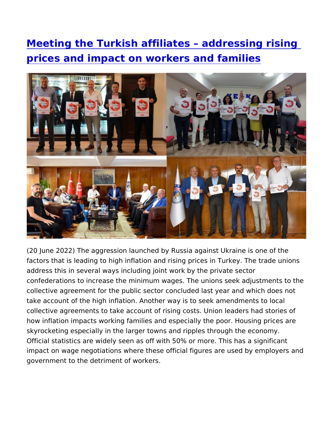Meeting the Turkish affiliates addressing [prices and impact on workers and](https://www.epsu.org/article/meeting-turkish-affiliates-addressing-rising-prices-and-impact-workers-and-families) families

(20 June 2022) The aggression launched by Russia against Ukrain factors that is leading to high inflation and rising prices in Turke address this in several ways including joint work by the private s confederations to increase the minimum wages. The unions seek a collective agreement for the public sector concluded last year and take account of the high inflation. Another way is to seek amendm collective agreements to take account of rising costs. Union lead how inflation impacts working families and especially the poor. H skyrocketing especially in the larger towns and ripples through th Official statistics are widely seen as off with 50% or more. This has impact on wage negotiations where these official figures are used government to the detriment of workers.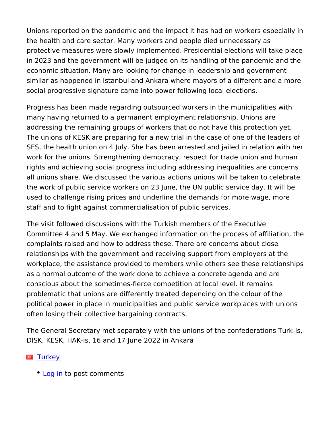Unions reported on the pandemic and the impact it has had on wo the health and care sector. Many workers and people died unnece protective measures were slowly implemented. Presidential electi in 2023 and the government will be judged on its handling of the economic situation. Many are looking for change in leadership an similar as happened in Istanbul and Ankara where mayors of a dif social progressive signature came into power following local elec

Progress has been made regarding outsourced workers in the mun many having returned to a permanent employment relationship. Ur addressing the remaining groups of workers that do not have this The unions of KESK are preparing for a new trial in the case of o SES, the health union on 4 July. She has been arrested and jailed work for the unions. Strengthening democracy, respect for trade u rights and achieving social progress including addressing inequal all unions share. We discussed the various actions unions will be the work of public service workers on 23 June, the UN public serv used to challenge rising prices and underline the demands for mo staff and to fight against commercialisation of public services.

The visit followed discussions with the Turkish members of the Example 1 Committee 4 and 5 May. We exchanged information on the process complaints raised and how to address these. There are concerns relationships with the government and receiving support from emp workplace, the assistance provided to members while others see to as a normal outcome of the work done to achieve a concrete agen conscious about the sometimes-fierce competition at local level. problematic that unions are differently treated depending on the c political power in place in municipalities and public service workp often losing their collective bargaining contracts.

The General Secretary met separately with the unions of the conf DISK, KESK, HAK-is, 16 and 17 June 2022 in Ankara

## [Turke](https://www.epsu.org/countries/turkey)y

• [Log](https://www.epsu.org/user/login?destination=/article/meeting-turkish-affiliates-addressing-rising-prices-and-impact-workers-and-families#comment-form) ino post comments